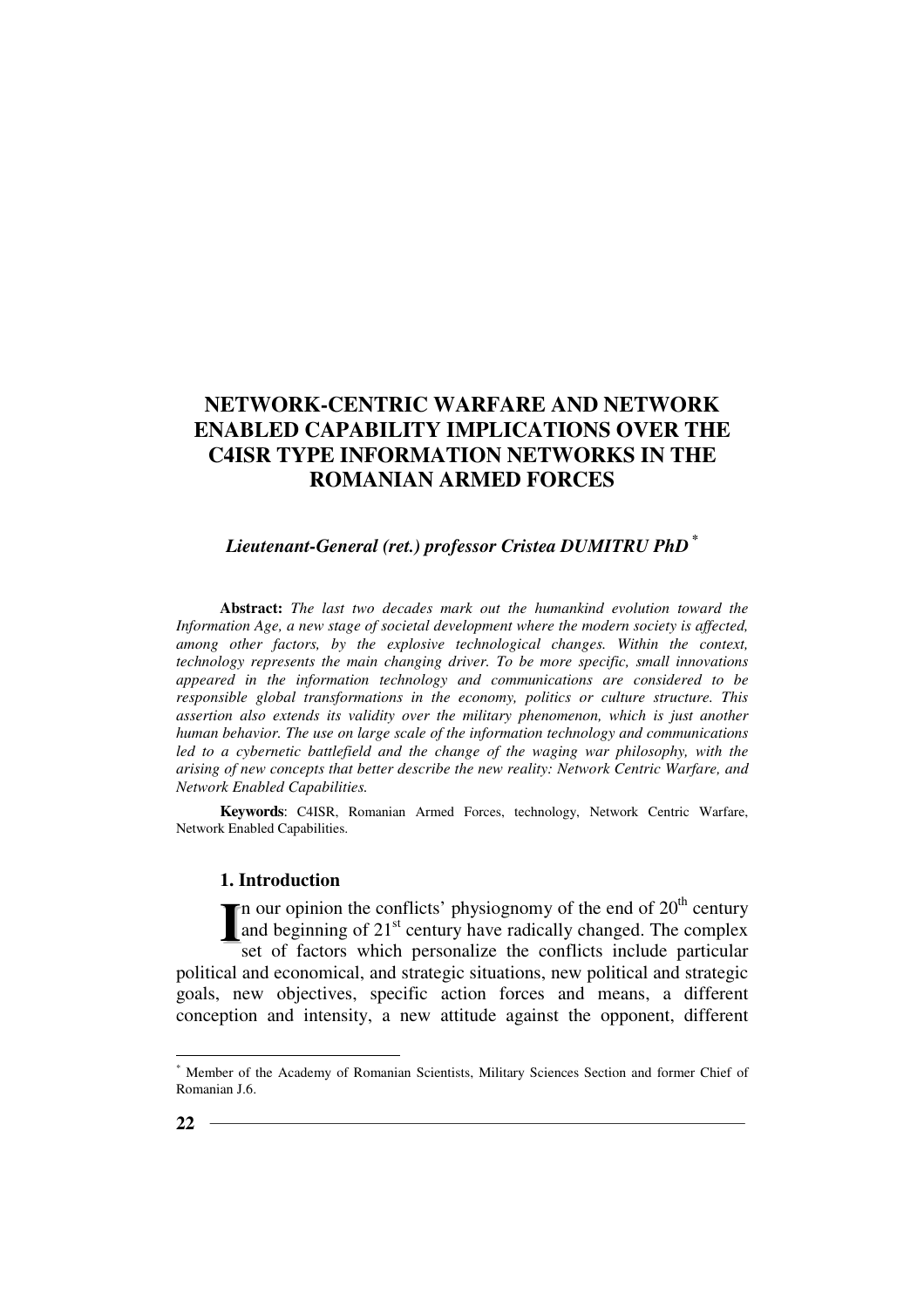# *Lieutenant-General (ret.) professor Cristea DUMITRU PhD \**

**Abstract:** *The last two decades mark out the humankind evolution toward the Information Age, a new stage of societal development where the modern society is affected, among other factors, by the explosive technological changes. Within the context, technology represents the main changing driver. To be more specific, small innovations appeared in the information technology and communications are considered to be responsible global transformations in the economy, politics or culture structure. This assertion also extends its validity over the military phenomenon, which is just another human behavior. The use on large scale of the information technology and communications*  led to a cybernetic battlefield and the change of the waging war philosophy, with the *arising of new concepts that better describe the new reality: Network Centric Warfare, and Network Enabled Capabilities.* 

**Keywords**: C4ISR, Romanian Armed Forces, technology, Network Centric Warfare, Network Enabled Capabilities.

### **1. Introduction**

In our opinion the conflicts' physiognomy of the end of  $20<sup>th</sup>$  century and beginning of 21<sup>st</sup> century have radically changed. The complex set of factors which personalize the conflicts include particular political and economical, and strategic situations, new political and strategic goals, new objectives, specific action forces and means, a different conception and intensity, a new attitude against the opponent, different **I**

 $\overline{a}$ 

<sup>\*</sup> Member of the Academy of Romanian Scientists, Military Sciences Section and former Chief of Romanian J.6.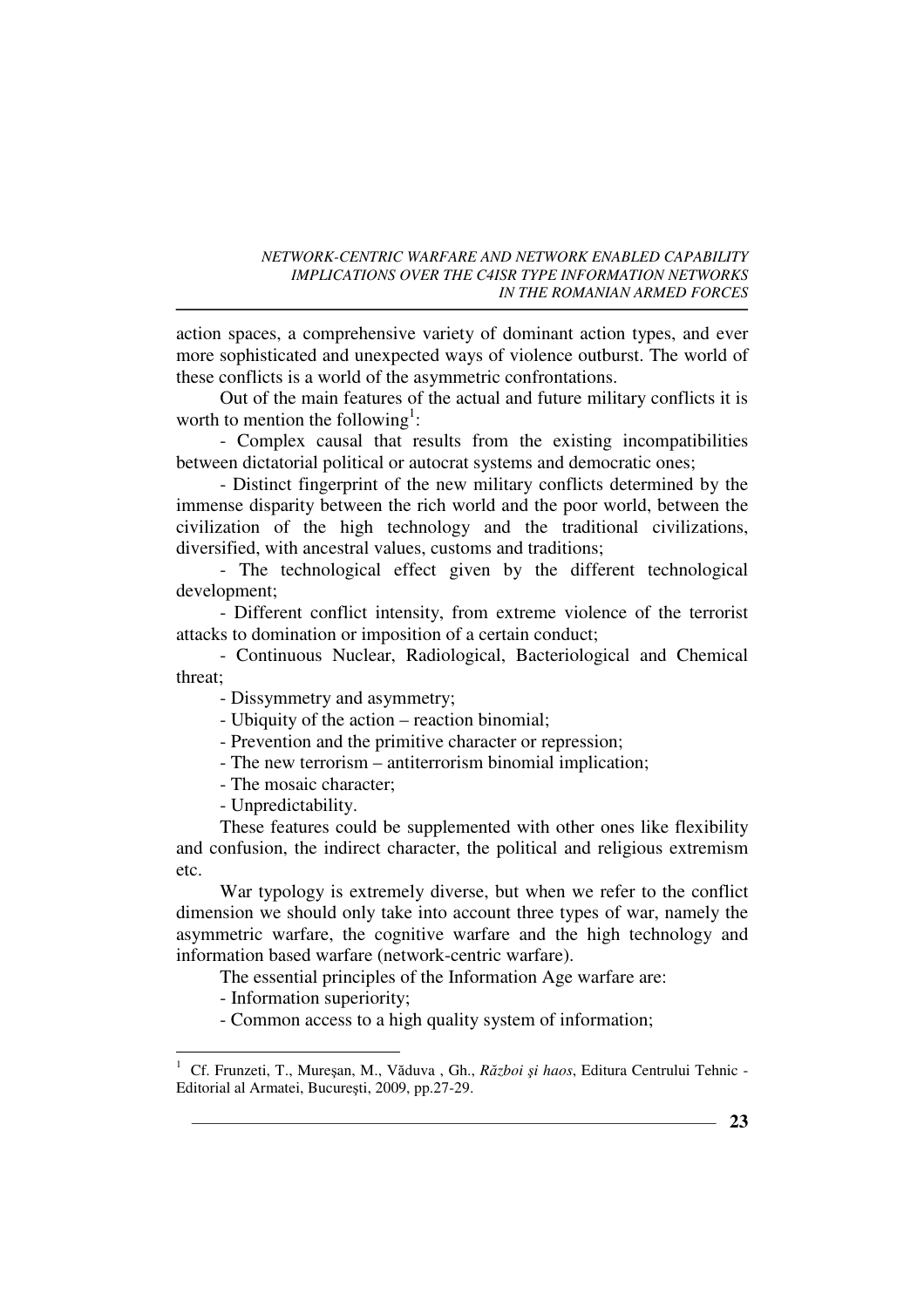action spaces, a comprehensive variety of dominant action types, and ever more sophisticated and unexpected ways of violence outburst. The world of these conflicts is a world of the asymmetric confrontations.

Out of the main features of the actual and future military conflicts it is worth to mention the following<sup>1</sup>:

- Complex causal that results from the existing incompatibilities between dictatorial political or autocrat systems and democratic ones;

- Distinct fingerprint of the new military conflicts determined by the immense disparity between the rich world and the poor world, between the civilization of the high technology and the traditional civilizations, diversified, with ancestral values, customs and traditions;

- The technological effect given by the different technological development;

- Different conflict intensity, from extreme violence of the terrorist attacks to domination or imposition of a certain conduct;

- Continuous Nuclear, Radiological, Bacteriological and Chemical threat;

- Dissymmetry and asymmetry;

- Ubiquity of the action – reaction binomial;

- Prevention and the primitive character or repression;

- The new terrorism antiterrorism binomial implication;
- The mosaic character;

- Unpredictability.

These features could be supplemented with other ones like flexibility and confusion, the indirect character, the political and religious extremism etc.

War typology is extremely diverse, but when we refer to the conflict dimension we should only take into account three types of war, namely the asymmetric warfare, the cognitive warfare and the high technology and information based warfare (network-centric warfare).

The essential principles of the Information Age warfare are:

- Information superiority;

- Common access to a high quality system of information;

 $\frac{1}{1}$  Cf. Frunzeti, T., Mureşan, M., Văduva , Gh., *Război şi haos*, Editura Centrului Tehnic - Editorial al Armatei, Bucureşti, 2009, pp.27-29.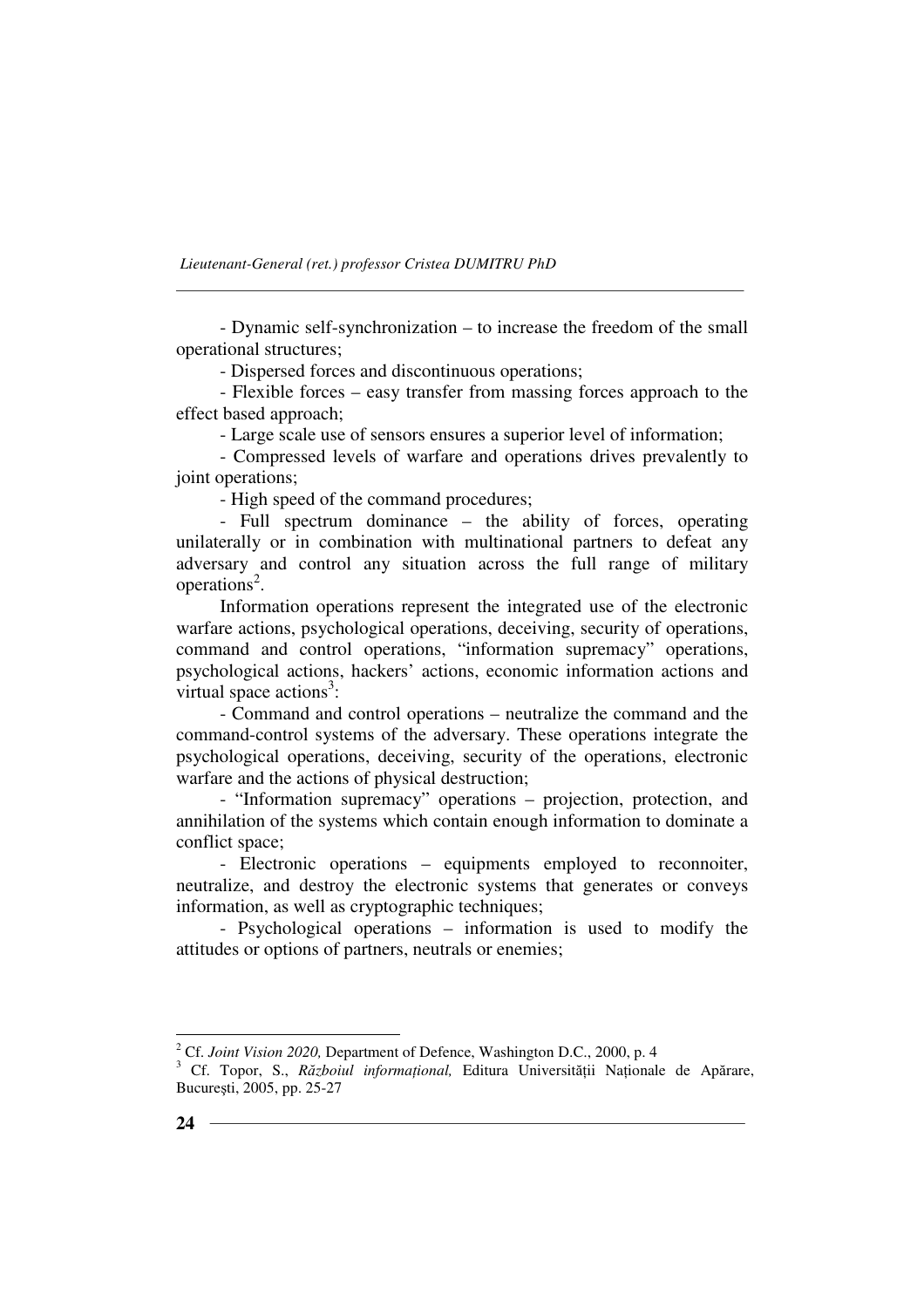- Dynamic self-synchronization – to increase the freedom of the small operational structures;

- Dispersed forces and discontinuous operations;

- Flexible forces – easy transfer from massing forces approach to the effect based approach;

- Large scale use of sensors ensures a superior level of information;

- Compressed levels of warfare and operations drives prevalently to joint operations;

- High speed of the command procedures;

- Full spectrum dominance – the ability of forces, operating unilaterally or in combination with multinational partners to defeat any adversary and control any situation across the full range of military operations<sup>2</sup>.

Information operations represent the integrated use of the electronic warfare actions, psychological operations, deceiving, security of operations, command and control operations, "information supremacy" operations, psychological actions, hackers' actions, economic information actions and virtual space  $\arctan^3$ :

- Command and control operations – neutralize the command and the command-control systems of the adversary. These operations integrate the psychological operations, deceiving, security of the operations, electronic warfare and the actions of physical destruction;

- "Information supremacy" operations – projection, protection, and annihilation of the systems which contain enough information to dominate a conflict space;

- Electronic operations – equipments employed to reconnoiter, neutralize, and destroy the electronic systems that generates or conveys information, as well as cryptographic techniques;

- Psychological operations – information is used to modify the attitudes or options of partners, neutrals or enemies;

<sup>&</sup>lt;sup>2</sup> Cf. *Joint Vision 2020*, Department of Defence, Washington D.C., 2000, p. 4

<sup>&</sup>lt;sup>3</sup> Cf. Topor, S., Războiul informațional, Editura Universității Naționale de Apărare, Bucureşti, 2005, pp. 25-27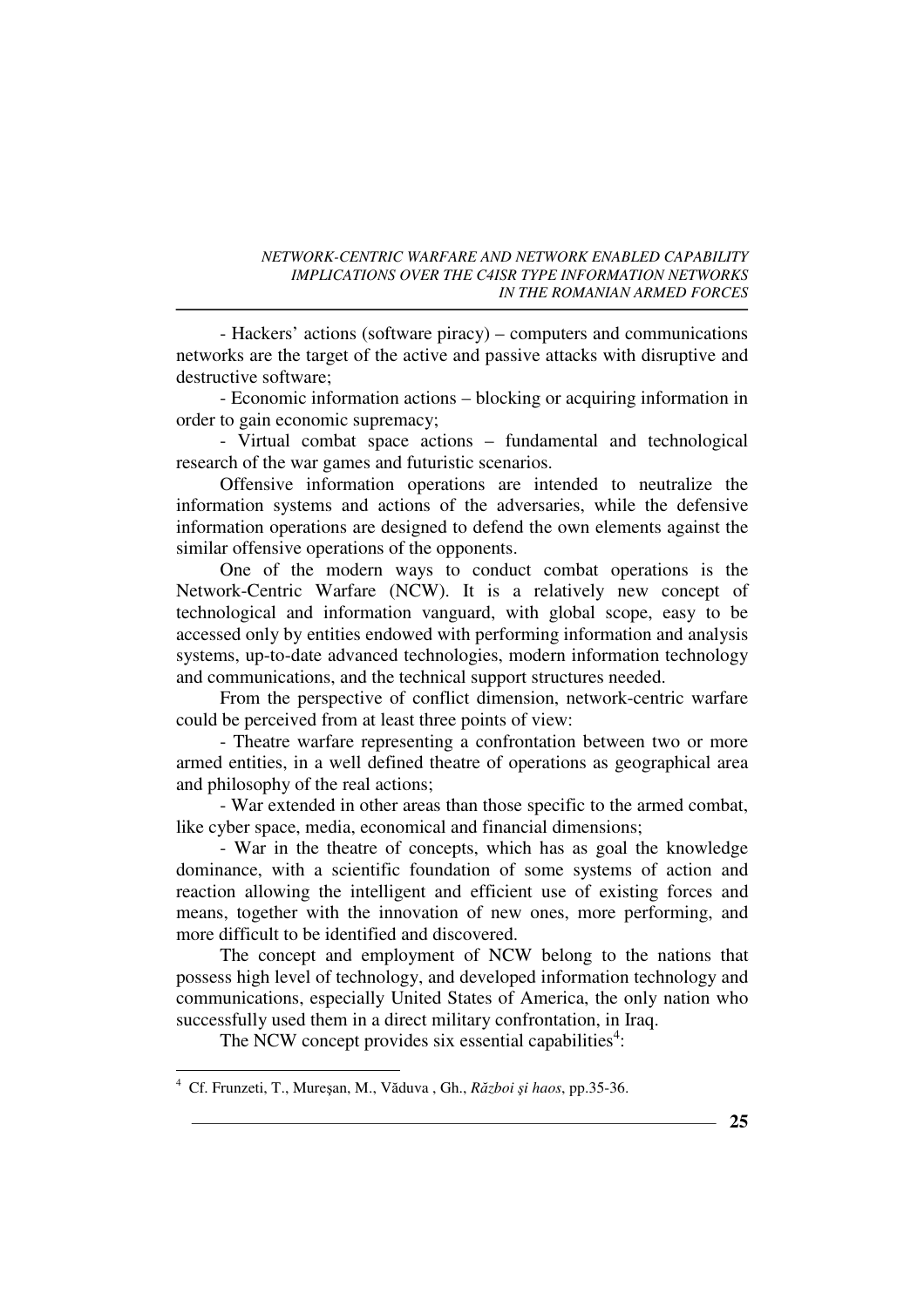- Hackers' actions (software piracy) – computers and communications networks are the target of the active and passive attacks with disruptive and destructive software;

- Economic information actions – blocking or acquiring information in order to gain economic supremacy;

- Virtual combat space actions – fundamental and technological research of the war games and futuristic scenarios.

Offensive information operations are intended to neutralize the information systems and actions of the adversaries, while the defensive information operations are designed to defend the own elements against the similar offensive operations of the opponents.

One of the modern ways to conduct combat operations is the Network-Centric Warfare (NCW). It is a relatively new concept of technological and information vanguard, with global scope, easy to be accessed only by entities endowed with performing information and analysis systems, up-to-date advanced technologies, modern information technology and communications, and the technical support structures needed.

From the perspective of conflict dimension, network-centric warfare could be perceived from at least three points of view:

- Theatre warfare representing a confrontation between two or more armed entities, in a well defined theatre of operations as geographical area and philosophy of the real actions;

- War extended in other areas than those specific to the armed combat, like cyber space, media, economical and financial dimensions;

- War in the theatre of concepts, which has as goal the knowledge dominance, with a scientific foundation of some systems of action and reaction allowing the intelligent and efficient use of existing forces and means, together with the innovation of new ones, more performing, and more difficult to be identified and discovered.

The concept and employment of NCW belong to the nations that possess high level of technology, and developed information technology and communications, especially United States of America, the only nation who successfully used them in a direct military confrontation, in Iraq.

The NCW concept provides six essential capabilities<sup>4</sup>:

 $\frac{1}{4}$ Cf. Frunzeti, T., Mureşan, M., Văduva , Gh., *Război şi haos*, pp.35-36.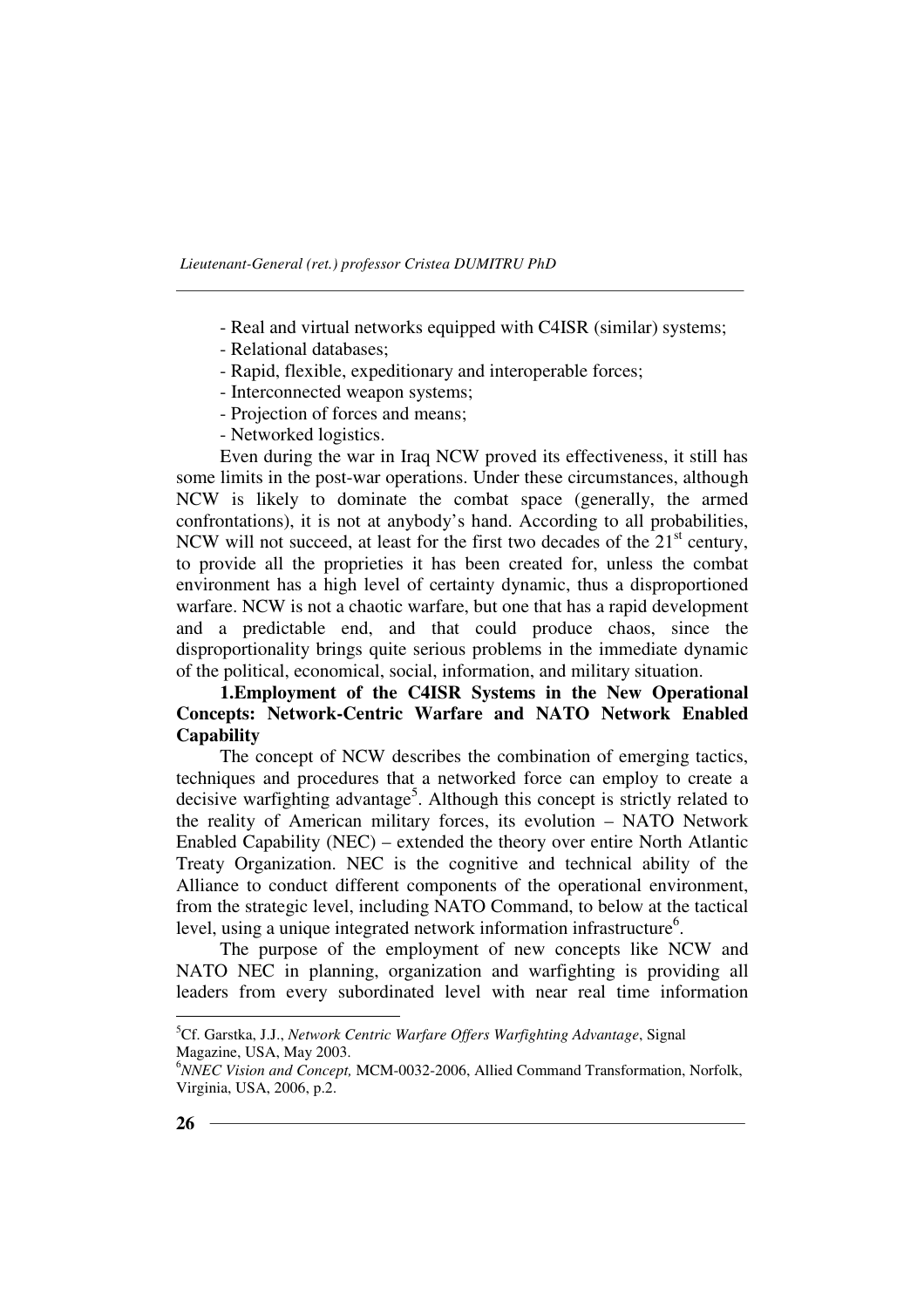- Real and virtual networks equipped with C4ISR (similar) systems;
- Relational databases;
- Rapid, flexible, expeditionary and interoperable forces;
- Interconnected weapon systems;
- Projection of forces and means;
- Networked logistics.

Even during the war in Iraq NCW proved its effectiveness, it still has some limits in the post-war operations. Under these circumstances, although NCW is likely to dominate the combat space (generally, the armed confrontations), it is not at anybody's hand. According to all probabilities, NCW will not succeed, at least for the first two decades of the  $21<sup>st</sup>$  century, to provide all the proprieties it has been created for, unless the combat environment has a high level of certainty dynamic, thus a disproportioned warfare. NCW is not a chaotic warfare, but one that has a rapid development and a predictable end, and that could produce chaos, since the disproportionality brings quite serious problems in the immediate dynamic of the political, economical, social, information, and military situation.

### **1.Employment of the C4ISR Systems in the New Operational Concepts: Network-Centric Warfare and NATO Network Enabled Capability**

The concept of NCW describes the combination of emerging tactics, techniques and procedures that a networked force can employ to create a decisive warfighting advantage<sup>5</sup>. Although this concept is strictly related to the reality of American military forces, its evolution – NATO Network Enabled Capability (NEC) – extended the theory over entire North Atlantic Treaty Organization. NEC is the cognitive and technical ability of the Alliance to conduct different components of the operational environment, from the strategic level, including NATO Command, to below at the tactical level, using a unique integrated network information infrastructure<sup>6</sup>.

The purpose of the employment of new concepts like NCW and NATO NEC in planning, organization and warfighting is providing all leaders from every subordinated level with near real time information

 $\overline{a}$ 

<sup>5</sup>Cf. Garstka, J.J., *Network Centric Warfare Offers Warfighting Advantage*, Signal Magazine, USA, May 2003.

<sup>6</sup>*NNEC Vision and Concept,* MCM-0032-2006, Allied Command Transformation, Norfolk, Virginia, USA, 2006, p.2.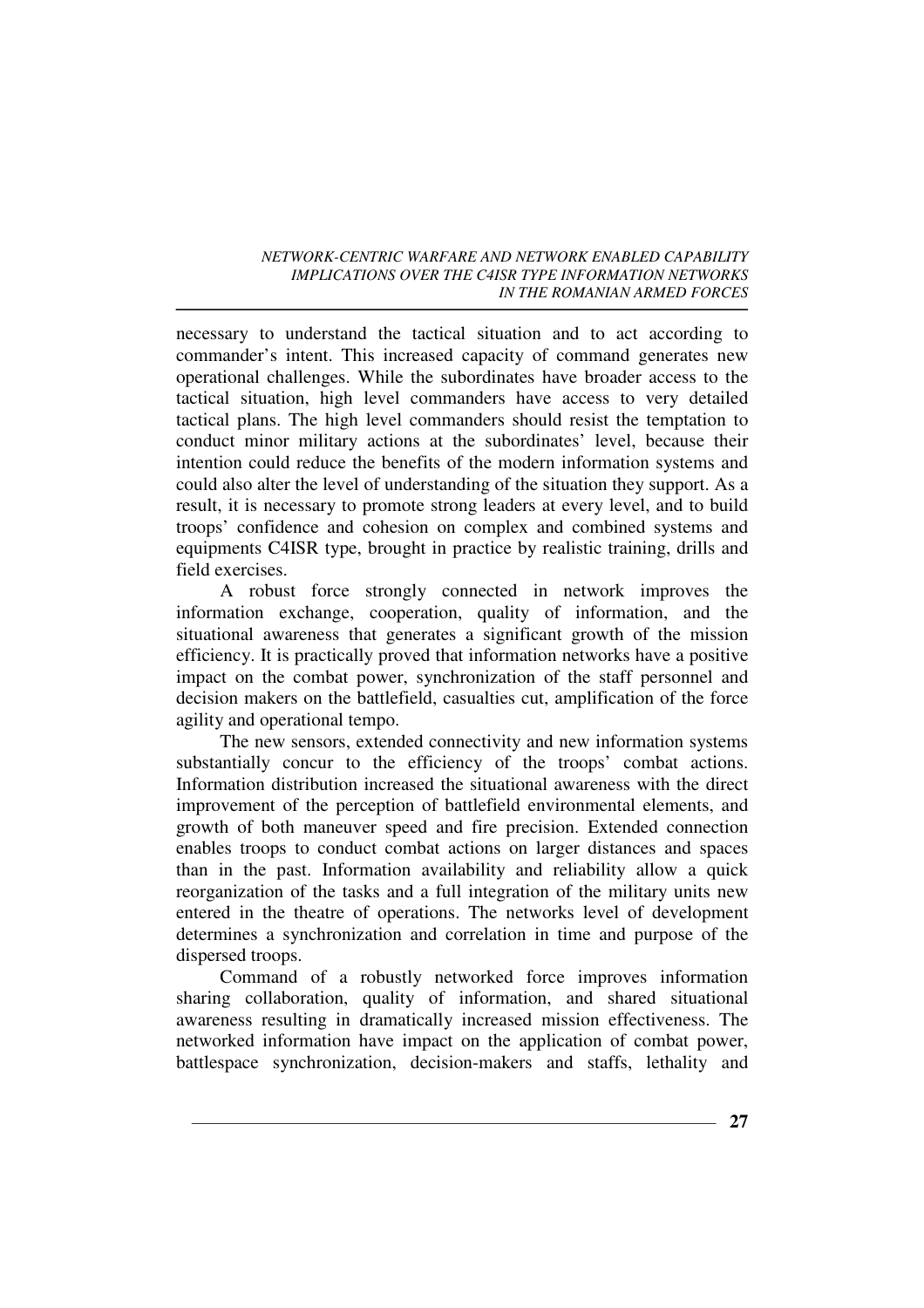necessary to understand the tactical situation and to act according to commander's intent. This increased capacity of command generates new operational challenges. While the subordinates have broader access to the tactical situation, high level commanders have access to very detailed tactical plans. The high level commanders should resist the temptation to conduct minor military actions at the subordinates' level, because their intention could reduce the benefits of the modern information systems and could also alter the level of understanding of the situation they support. As a result, it is necessary to promote strong leaders at every level, and to build troops' confidence and cohesion on complex and combined systems and equipments C4ISR type, brought in practice by realistic training, drills and field exercises.

A robust force strongly connected in network improves the information exchange, cooperation, quality of information, and the situational awareness that generates a significant growth of the mission efficiency. It is practically proved that information networks have a positive impact on the combat power, synchronization of the staff personnel and decision makers on the battlefield, casualties cut, amplification of the force agility and operational tempo.

The new sensors, extended connectivity and new information systems substantially concur to the efficiency of the troops' combat actions. Information distribution increased the situational awareness with the direct improvement of the perception of battlefield environmental elements, and growth of both maneuver speed and fire precision. Extended connection enables troops to conduct combat actions on larger distances and spaces than in the past. Information availability and reliability allow a quick reorganization of the tasks and a full integration of the military units new entered in the theatre of operations. The networks level of development determines a synchronization and correlation in time and purpose of the dispersed troops.

Command of a robustly networked force improves information sharing collaboration, quality of information, and shared situational awareness resulting in dramatically increased mission effectiveness. The networked information have impact on the application of combat power, battlespace synchronization, decision-makers and staffs, lethality and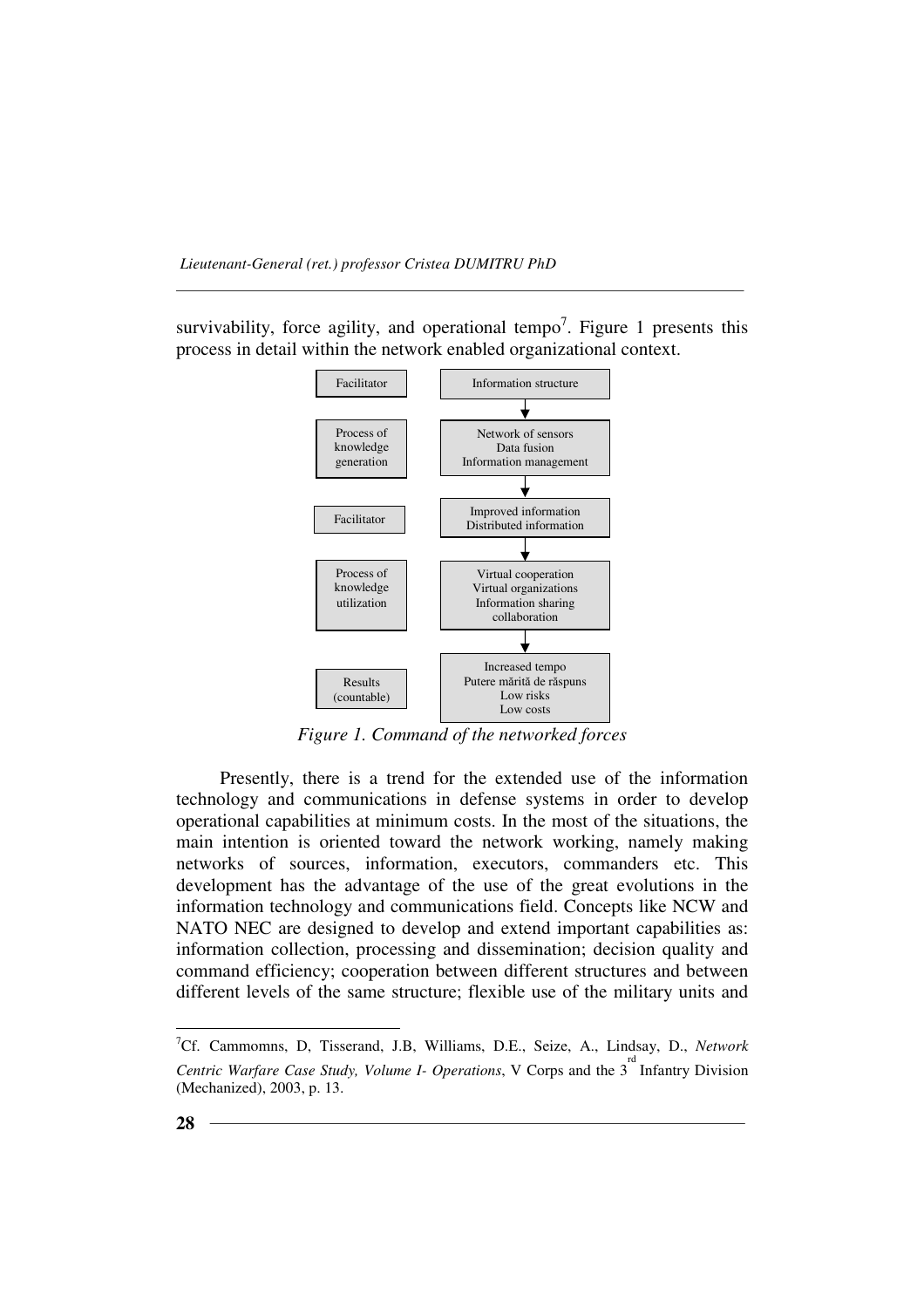survivability, force agility, and operational tempo<sup>7</sup>. Figure 1 presents this process in detail within the network enabled organizational context.



*Figure 1. Command of the networked forces* 

Presently, there is a trend for the extended use of the information technology and communications in defense systems in order to develop operational capabilities at minimum costs. In the most of the situations, the main intention is oriented toward the network working, namely making networks of sources, information, executors, commanders etc. This development has the advantage of the use of the great evolutions in the information technology and communications field. Concepts like NCW and NATO NEC are designed to develop and extend important capabilities as: information collection, processing and dissemination; decision quality and command efficiency; cooperation between different structures and between different levels of the same structure; flexible use of the military units and

 $\overline{a}$ 

<sup>7</sup>Cf. Cammomns, D, Tisserand, J.B, Williams, D.E., Seize, A., Lindsay, D., *Network*  Centric Warfare Case Study, Volume *I*- Operations, V Corps and the 3<sup>rd</sup> Infantry Division (Mechanized), 2003, p. 13.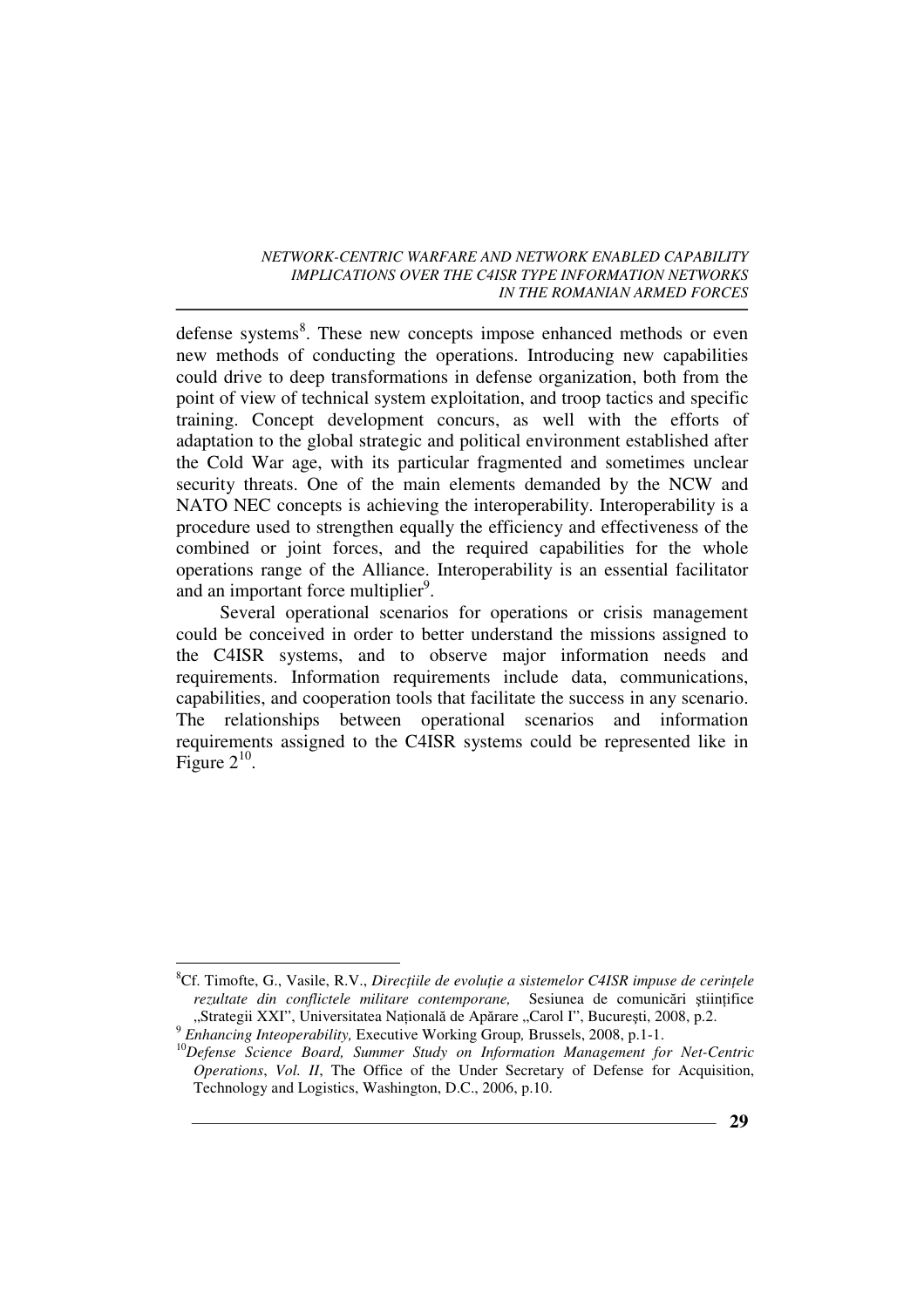defense systems<sup>8</sup>. These new concepts impose enhanced methods or even new methods of conducting the operations. Introducing new capabilities could drive to deep transformations in defense organization, both from the point of view of technical system exploitation, and troop tactics and specific training. Concept development concurs, as well with the efforts of adaptation to the global strategic and political environment established after the Cold War age, with its particular fragmented and sometimes unclear security threats. One of the main elements demanded by the NCW and NATO NEC concepts is achieving the interoperability. Interoperability is a procedure used to strengthen equally the efficiency and effectiveness of the combined or joint forces, and the required capabilities for the whole operations range of the Alliance. Interoperability is an essential facilitator and an important force multiplier<sup>9</sup>.

Several operational scenarios for operations or crisis management could be conceived in order to better understand the missions assigned to the C4ISR systems, and to observe major information needs and requirements. Information requirements include data, communications, capabilities, and cooperation tools that facilitate the success in any scenario. The relationships between operational scenarios and information requirements assigned to the C4ISR systems could be represented like in Figure  $2^{10}$ .

 $\overline{a}$ 8Cf. Timofte, G., Vasile, R.V., *Directiile de evolutie a sistemelor C4ISR impuse de cerintele* rezultate din conflictele militare contemporane, Sesiunea de comunicări știintifice "Strategii XXI", Universitatea Natională de Apărare "Carol I", București, 2008, p.2.

<sup>9</sup>  *Enhancing Inteoperability,* Executive Working Group*,* Brussels, 2008, p.1-1.

<sup>10</sup>*Defense Science Board, Summer Study on Information Management for Net-Centric Operations*, *Vol. II*, The Office of the Under Secretary of Defense for Acquisition, Technology and Logistics, Washington, D.C., 2006, p.10.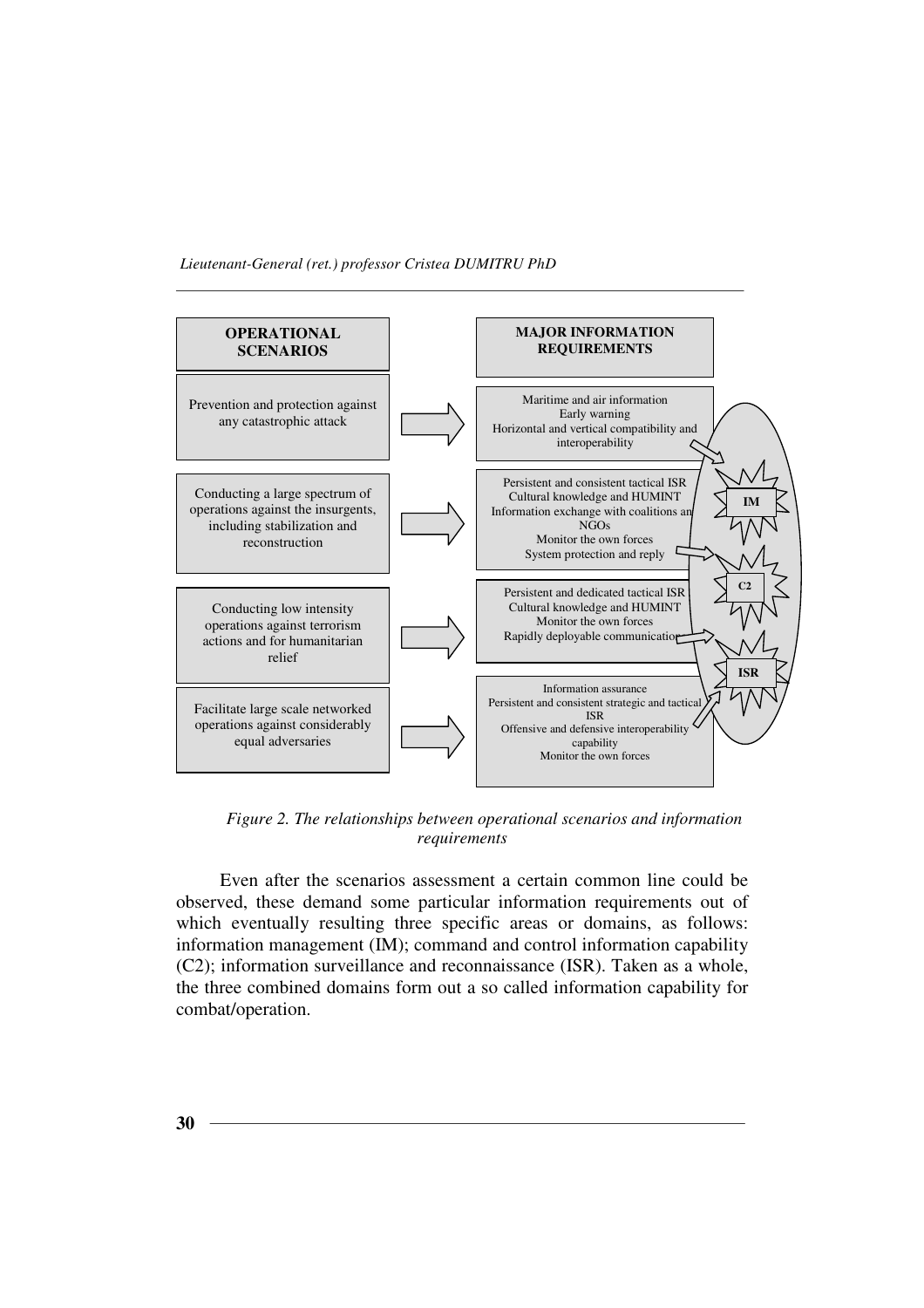

*Figure 2. The relationships between operational scenarios and information requirements* 

Even after the scenarios assessment a certain common line could be observed, these demand some particular information requirements out of which eventually resulting three specific areas or domains, as follows: information management (IM); command and control information capability (C2); information surveillance and reconnaissance (ISR). Taken as a whole, the three combined domains form out a so called information capability for combat/operation.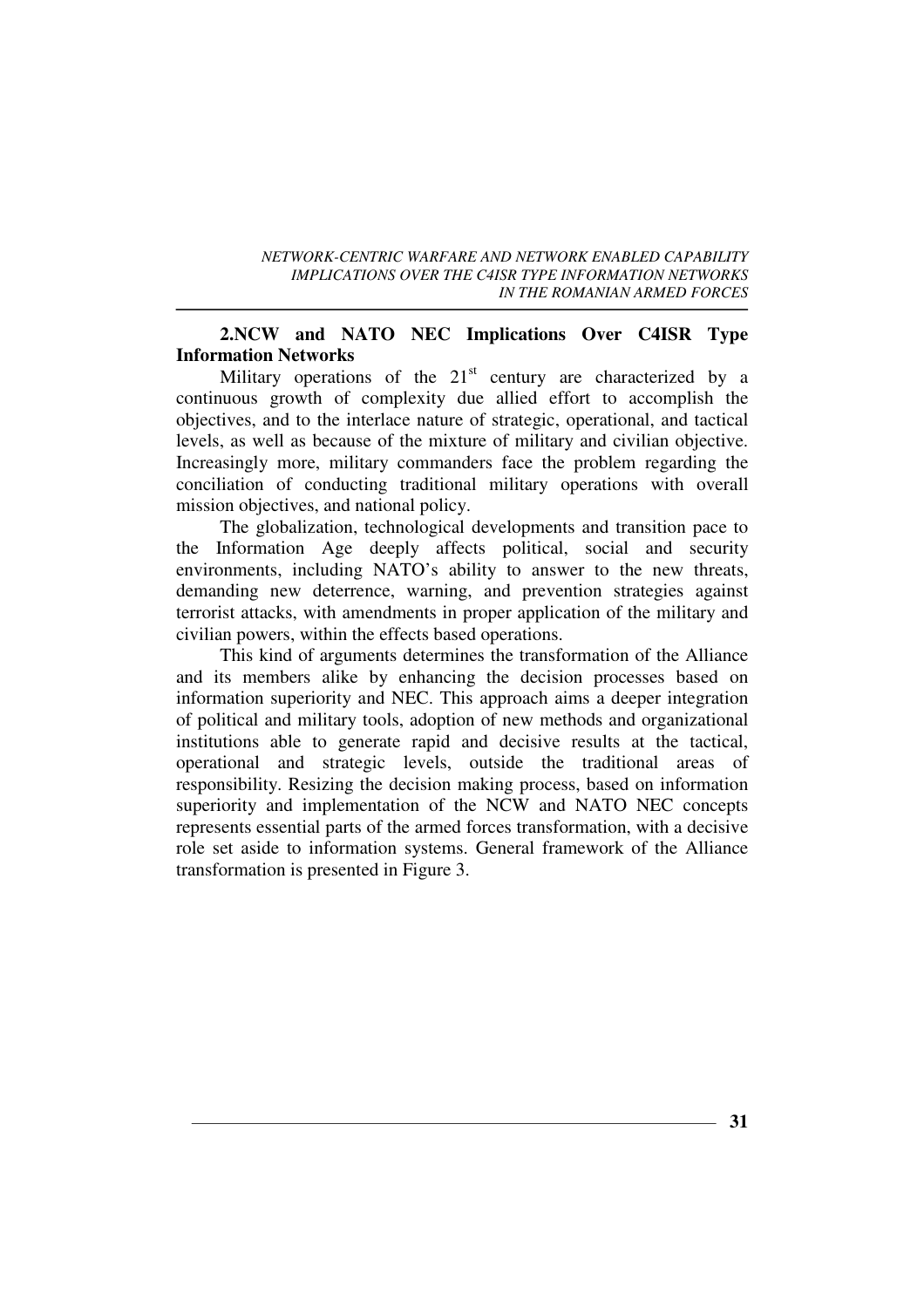## **2.NCW and NATO NEC Implications Over C4ISR Type Information Networks**

Military operations of the  $21<sup>st</sup>$  century are characterized by a continuous growth of complexity due allied effort to accomplish the objectives, and to the interlace nature of strategic, operational, and tactical levels, as well as because of the mixture of military and civilian objective. Increasingly more, military commanders face the problem regarding the conciliation of conducting traditional military operations with overall mission objectives, and national policy.

The globalization, technological developments and transition pace to the Information Age deeply affects political, social and security environments, including NATO's ability to answer to the new threats, demanding new deterrence, warning, and prevention strategies against terrorist attacks, with amendments in proper application of the military and civilian powers, within the effects based operations.

This kind of arguments determines the transformation of the Alliance and its members alike by enhancing the decision processes based on information superiority and NEC. This approach aims a deeper integration of political and military tools, adoption of new methods and organizational institutions able to generate rapid and decisive results at the tactical, operational and strategic levels, outside the traditional areas of responsibility. Resizing the decision making process, based on information superiority and implementation of the NCW and NATO NEC concepts represents essential parts of the armed forces transformation, with a decisive role set aside to information systems. General framework of the Alliance transformation is presented in Figure 3.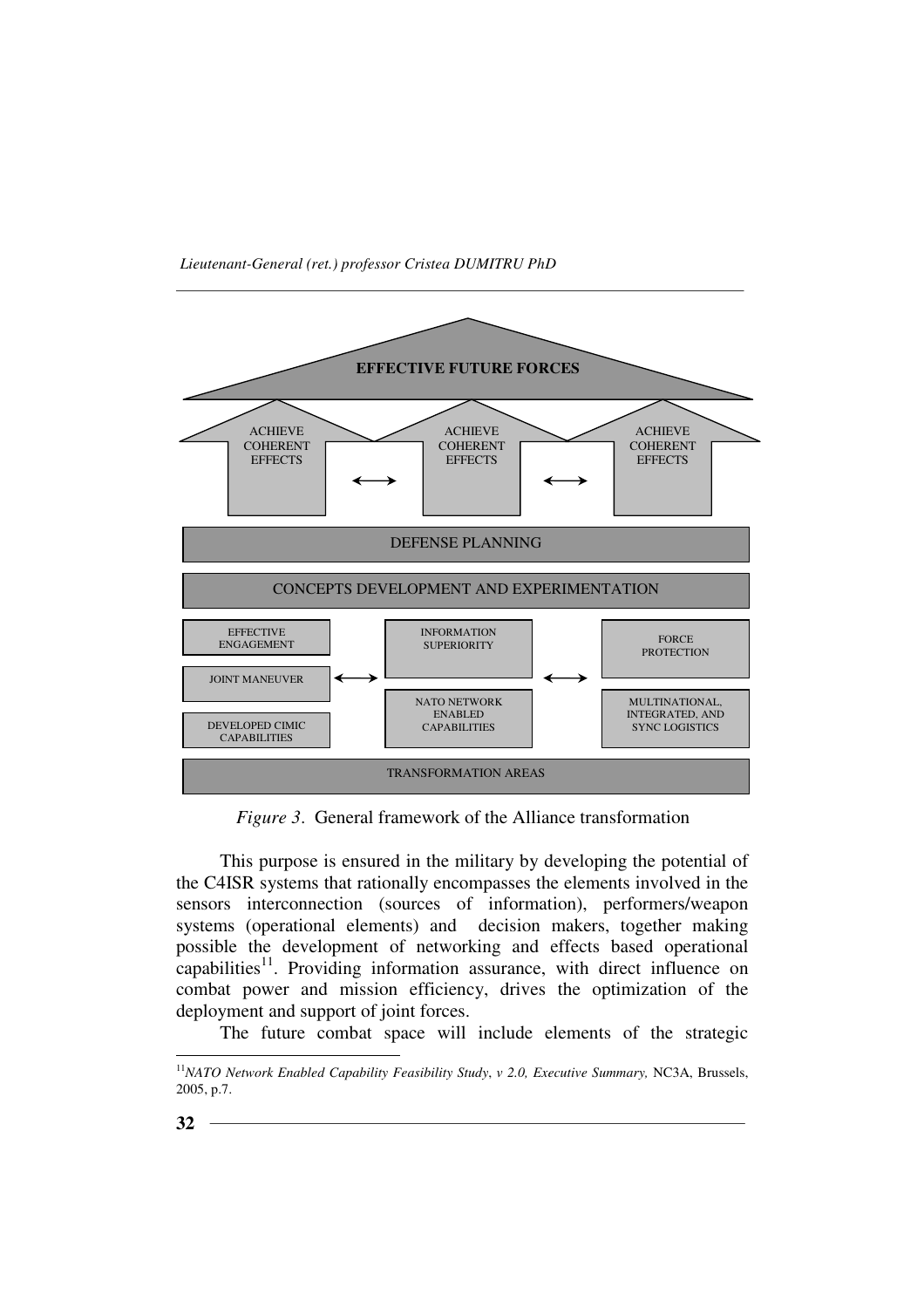

*Figure 3*. General framework of the Alliance transformation

This purpose is ensured in the military by developing the potential of the C4ISR systems that rationally encompasses the elements involved in the sensors interconnection (sources of information), performers/weapon systems (operational elements) and decision makers, together making possible the development of networking and effects based operational capabilities<sup>11</sup>. Providing information assurance, with direct influence on combat power and mission efficiency, drives the optimization of the deployment and support of joint forces.

The future combat space will include elements of the strategic

 $\overline{a}$ <sup>11</sup>*NATO Network Enabled Capability Feasibility Study*, *v 2.0, Executive Summary,* NC3A, Brussels, 2005, p.7.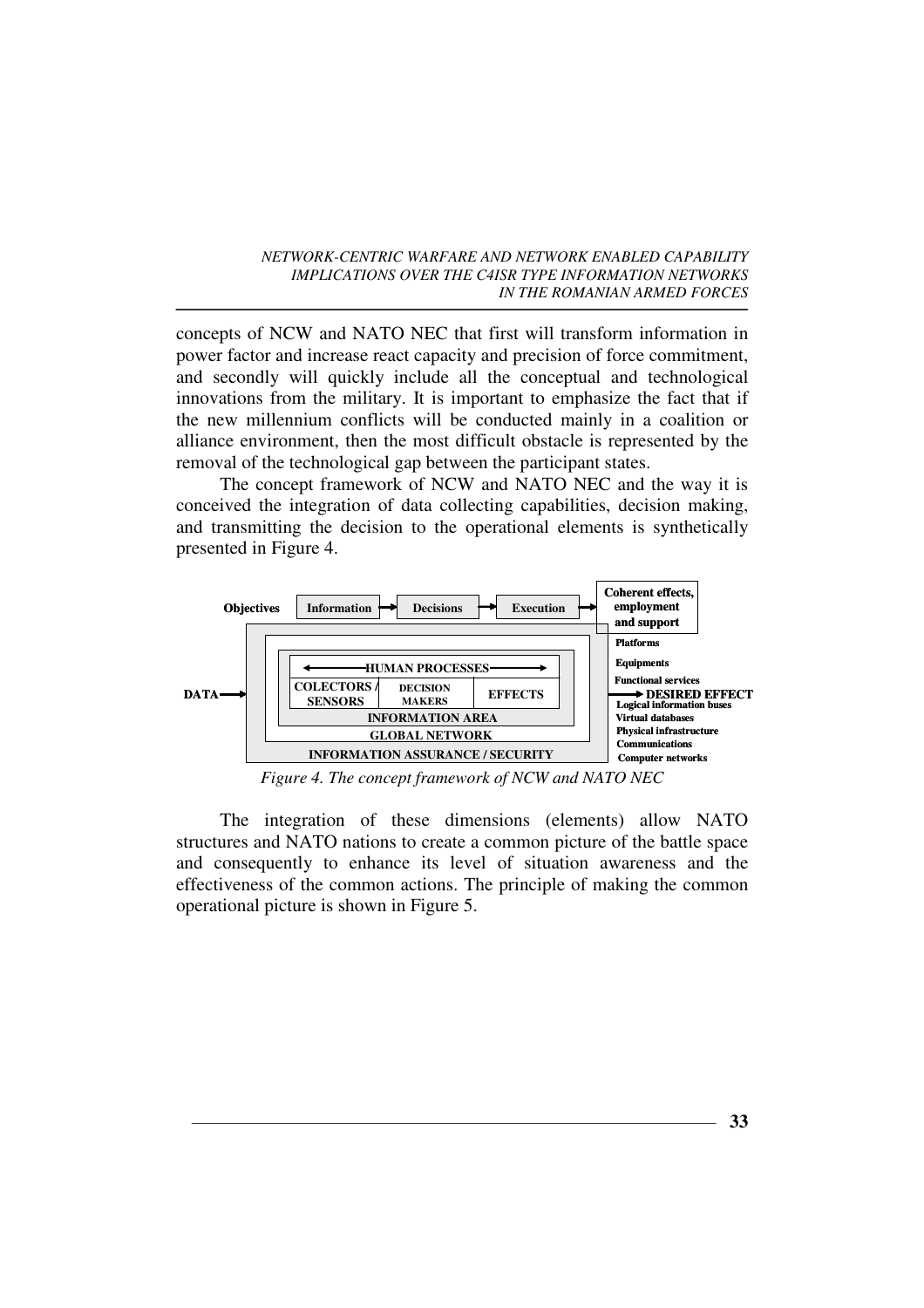concepts of NCW and NATO NEC that first will transform information in power factor and increase react capacity and precision of force commitment, and secondly will quickly include all the conceptual and technological innovations from the military. It is important to emphasize the fact that if the new millennium conflicts will be conducted mainly in a coalition or alliance environment, then the most difficult obstacle is represented by the removal of the technological gap between the participant states.

The concept framework of NCW and NATO NEC and the way it is conceived the integration of data collecting capabilities, decision making, and transmitting the decision to the operational elements is synthetically presented in Figure 4.



*Figure 4. The concept framework of NCW and NATO NEC*

The integration of these dimensions (elements) allow NATO structures and NATO nations to create a common picture of the battle space and consequently to enhance its level of situation awareness and the effectiveness of the common actions. The principle of making the common operational picture is shown in Figure 5.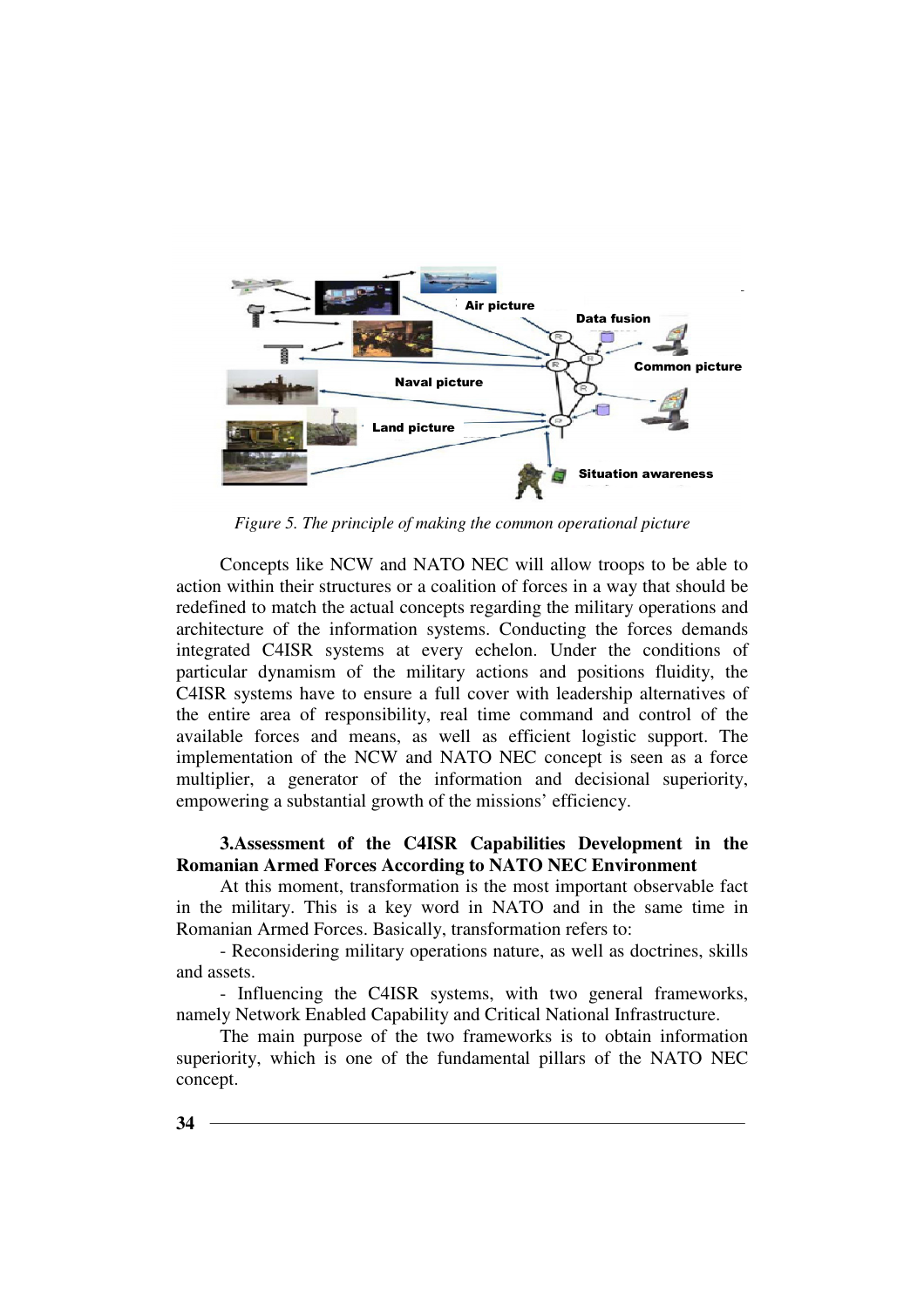

*Figure 5. The principle of making the common operational picture* 

Concepts like NCW and NATO NEC will allow troops to be able to action within their structures or a coalition of forces in a way that should be redefined to match the actual concepts regarding the military operations and architecture of the information systems. Conducting the forces demands integrated C4ISR systems at every echelon. Under the conditions of particular dynamism of the military actions and positions fluidity, the C4ISR systems have to ensure a full cover with leadership alternatives of the entire area of responsibility, real time command and control of the available forces and means, as well as efficient logistic support. The implementation of the NCW and NATO NEC concept is seen as a force multiplier, a generator of the information and decisional superiority, empowering a substantial growth of the missions' efficiency.

### **3.Assessment of the C4ISR Capabilities Development in the Romanian Armed Forces According to NATO NEC Environment**

At this moment, transformation is the most important observable fact in the military. This is a key word in NATO and in the same time in Romanian Armed Forces. Basically, transformation refers to:

- Reconsidering military operations nature, as well as doctrines, skills and assets.

- Influencing the C4ISR systems, with two general frameworks, namely Network Enabled Capability and Critical National Infrastructure.

The main purpose of the two frameworks is to obtain information superiority, which is one of the fundamental pillars of the NATO NEC concept.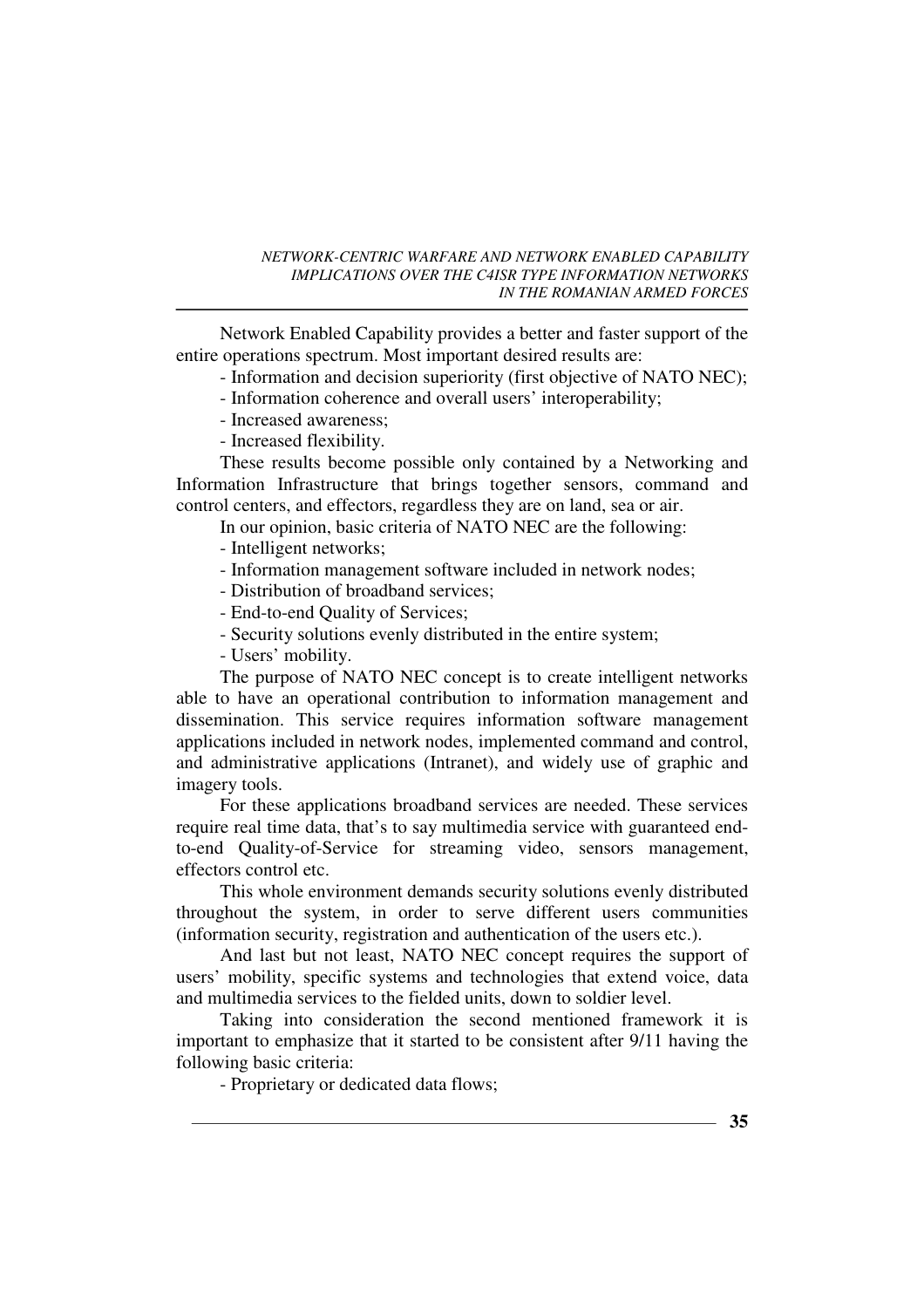Network Enabled Capability provides a better and faster support of the entire operations spectrum. Most important desired results are:

- Information and decision superiority (first objective of NATO NEC);

- Information coherence and overall users' interoperability;

- Increased awareness;
- Increased flexibility.

These results become possible only contained by a Networking and Information Infrastructure that brings together sensors, command and control centers, and effectors, regardless they are on land, sea or air.

In our opinion, basic criteria of NATO NEC are the following:

- Intelligent networks;

- Information management software included in network nodes;
- Distribution of broadband services;
- End-to-end Quality of Services;
- Security solutions evenly distributed in the entire system;
- Users' mobility.

The purpose of NATO NEC concept is to create intelligent networks able to have an operational contribution to information management and dissemination. This service requires information software management applications included in network nodes, implemented command and control, and administrative applications (Intranet), and widely use of graphic and imagery tools.

For these applications broadband services are needed. These services require real time data, that's to say multimedia service with guaranteed endto-end Quality-of-Service for streaming video, sensors management, effectors control etc.

This whole environment demands security solutions evenly distributed throughout the system, in order to serve different users communities (information security, registration and authentication of the users etc.).

And last but not least, NATO NEC concept requires the support of users' mobility, specific systems and technologies that extend voice, data and multimedia services to the fielded units, down to soldier level.

Taking into consideration the second mentioned framework it is important to emphasize that it started to be consistent after 9/11 having the following basic criteria:

- Proprietary or dedicated data flows;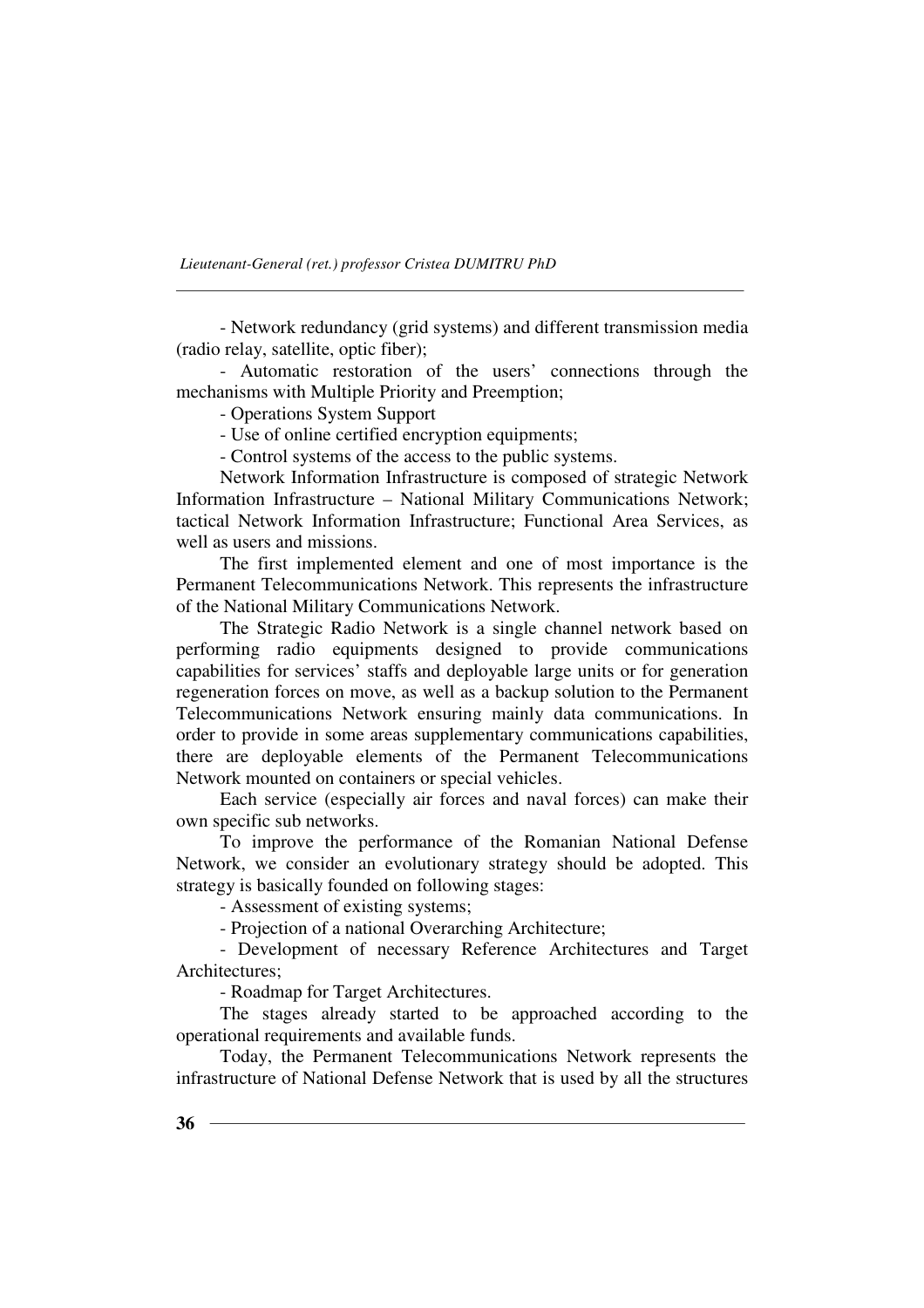- Network redundancy (grid systems) and different transmission media (radio relay, satellite, optic fiber);

- Automatic restoration of the users' connections through the mechanisms with Multiple Priority and Preemption;

- Operations System Support

- Use of online certified encryption equipments;

- Control systems of the access to the public systems.

Network Information Infrastructure is composed of strategic Network Information Infrastructure – National Military Communications Network; tactical Network Information Infrastructure; Functional Area Services, as well as users and missions.

The first implemented element and one of most importance is the Permanent Telecommunications Network. This represents the infrastructure of the National Military Communications Network.

The Strategic Radio Network is a single channel network based on performing radio equipments designed to provide communications capabilities for services' staffs and deployable large units or for generation regeneration forces on move, as well as a backup solution to the Permanent Telecommunications Network ensuring mainly data communications. In order to provide in some areas supplementary communications capabilities, there are deployable elements of the Permanent Telecommunications Network mounted on containers or special vehicles.

Each service (especially air forces and naval forces) can make their own specific sub networks.

To improve the performance of the Romanian National Defense Network, we consider an evolutionary strategy should be adopted. This strategy is basically founded on following stages:

- Assessment of existing systems;

- Projection of a national Overarching Architecture;

- Development of necessary Reference Architectures and Target Architectures;

- Roadmap for Target Architectures.

The stages already started to be approached according to the operational requirements and available funds.

Today, the Permanent Telecommunications Network represents the infrastructure of National Defense Network that is used by all the structures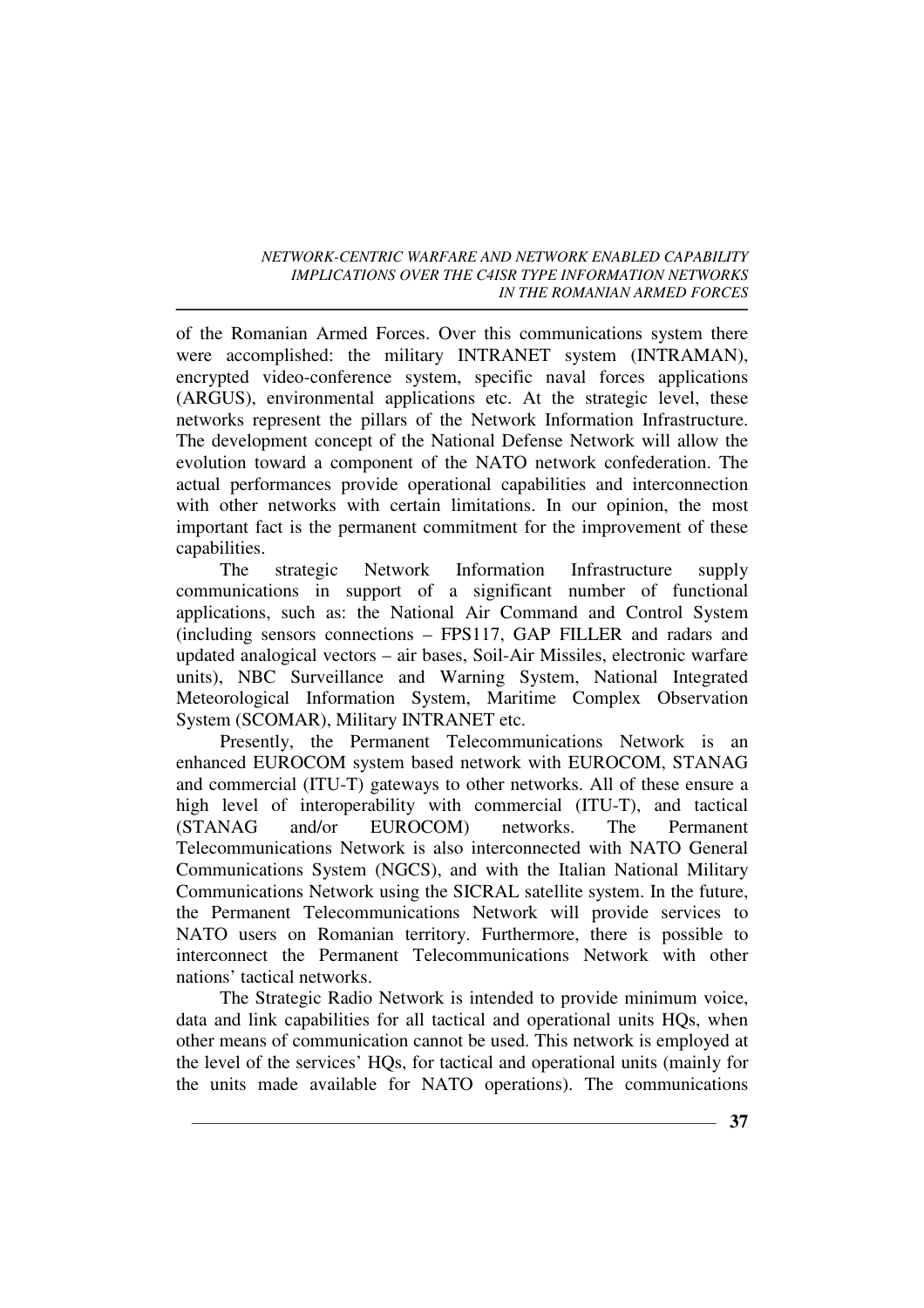of the Romanian Armed Forces. Over this communications system there were accomplished: the military INTRANET system (INTRAMAN), encrypted video-conference system, specific naval forces applications (ARGUS), environmental applications etc. At the strategic level, these networks represent the pillars of the Network Information Infrastructure. The development concept of the National Defense Network will allow the evolution toward a component of the NATO network confederation. The actual performances provide operational capabilities and interconnection with other networks with certain limitations. In our opinion, the most important fact is the permanent commitment for the improvement of these capabilities.

The strategic Network Information Infrastructure supply communications in support of a significant number of functional applications, such as: the National Air Command and Control System (including sensors connections – FPS117, GAP FILLER and radars and updated analogical vectors – air bases, Soil-Air Missiles, electronic warfare units), NBC Surveillance and Warning System, National Integrated Meteorological Information System, Maritime Complex Observation System (SCOMAR), Military INTRANET etc.

Presently, the Permanent Telecommunications Network is an enhanced EUROCOM system based network with EUROCOM, STANAG and commercial (ITU-T) gateways to other networks. All of these ensure a high level of interoperability with commercial (ITU-T), and tactical (STANAG and/or EUROCOM) networks. The Permanent Telecommunications Network is also interconnected with NATO General Communications System (NGCS), and with the Italian National Military Communications Network using the SICRAL satellite system. In the future, the Permanent Telecommunications Network will provide services to NATO users on Romanian territory. Furthermore, there is possible to interconnect the Permanent Telecommunications Network with other nations' tactical networks.

The Strategic Radio Network is intended to provide minimum voice, data and link capabilities for all tactical and operational units HQs, when other means of communication cannot be used. This network is employed at the level of the services' HQs, for tactical and operational units (mainly for the units made available for NATO operations). The communications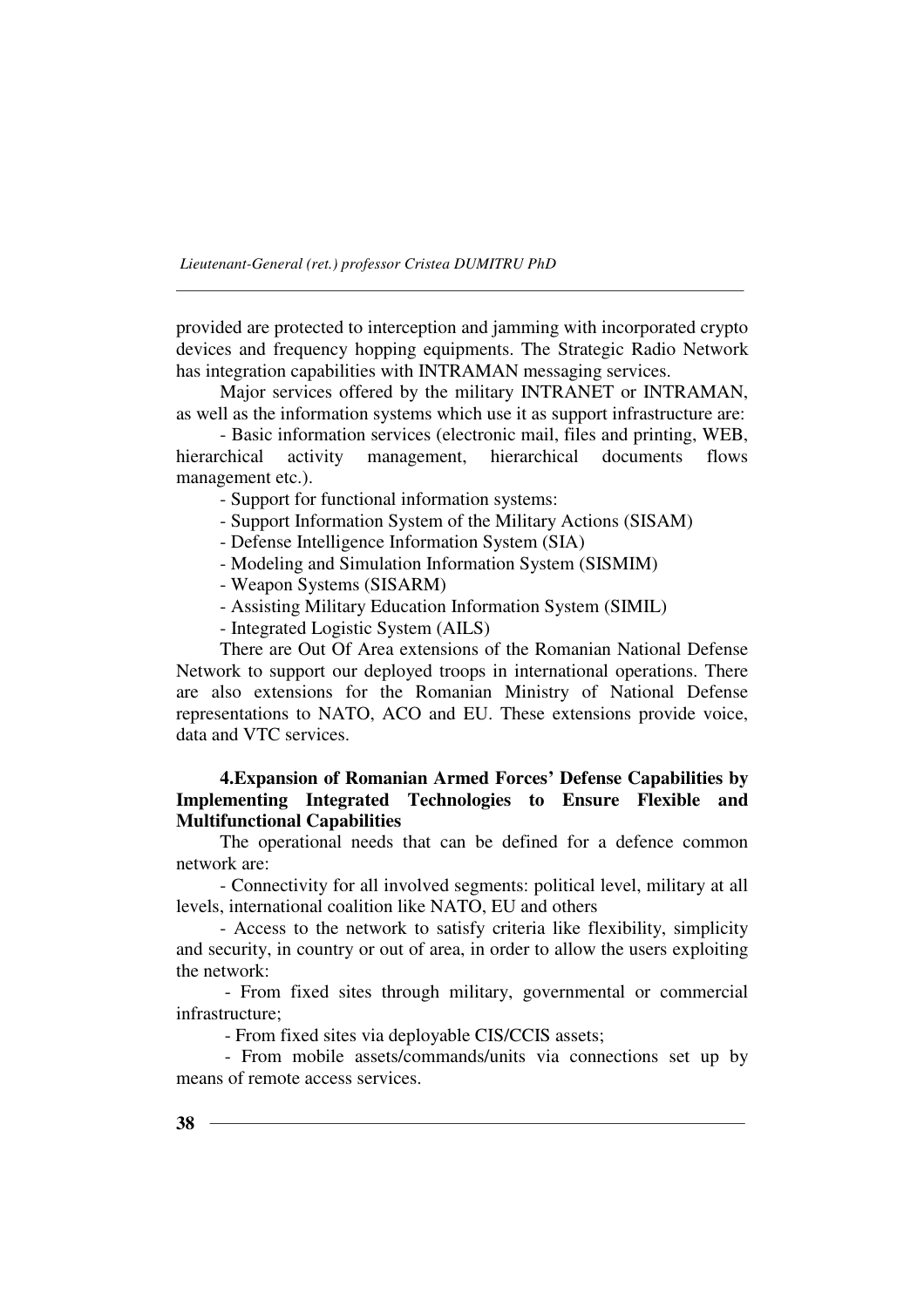provided are protected to interception and jamming with incorporated crypto devices and frequency hopping equipments. The Strategic Radio Network has integration capabilities with INTRAMAN messaging services.

Major services offered by the military INTRANET or INTRAMAN, as well as the information systems which use it as support infrastructure are:

- Basic information services (electronic mail, files and printing, WEB, hierarchical activity management, hierarchical documents flows management etc.).

- Support for functional information systems:

- Support Information System of the Military Actions (SISAM)

- Defense Intelligence Information System (SIA)

- Modeling and Simulation Information System (SISMIM)

- Weapon Systems (SISARM)
- Assisting Military Education Information System (SIMIL)
- Integrated Logistic System (AILS)

There are Out Of Area extensions of the Romanian National Defense Network to support our deployed troops in international operations. There are also extensions for the Romanian Ministry of National Defense representations to NATO, ACO and EU. These extensions provide voice, data and VTC services.

### **4.Expansion of Romanian Armed Forces' Defense Capabilities by Implementing Integrated Technologies to Ensure Flexible and Multifunctional Capabilities**

The operational needs that can be defined for a defence common network are:

- Connectivity for all involved segments: political level, military at all levels, international coalition like NATO, EU and others

- Access to the network to satisfy criteria like flexibility, simplicity and security, in country or out of area, in order to allow the users exploiting the network:

 - From fixed sites through military, governmental or commercial infrastructure;

- From fixed sites via deployable CIS/CCIS assets;

 - From mobile assets/commands/units via connections set up by means of remote access services.

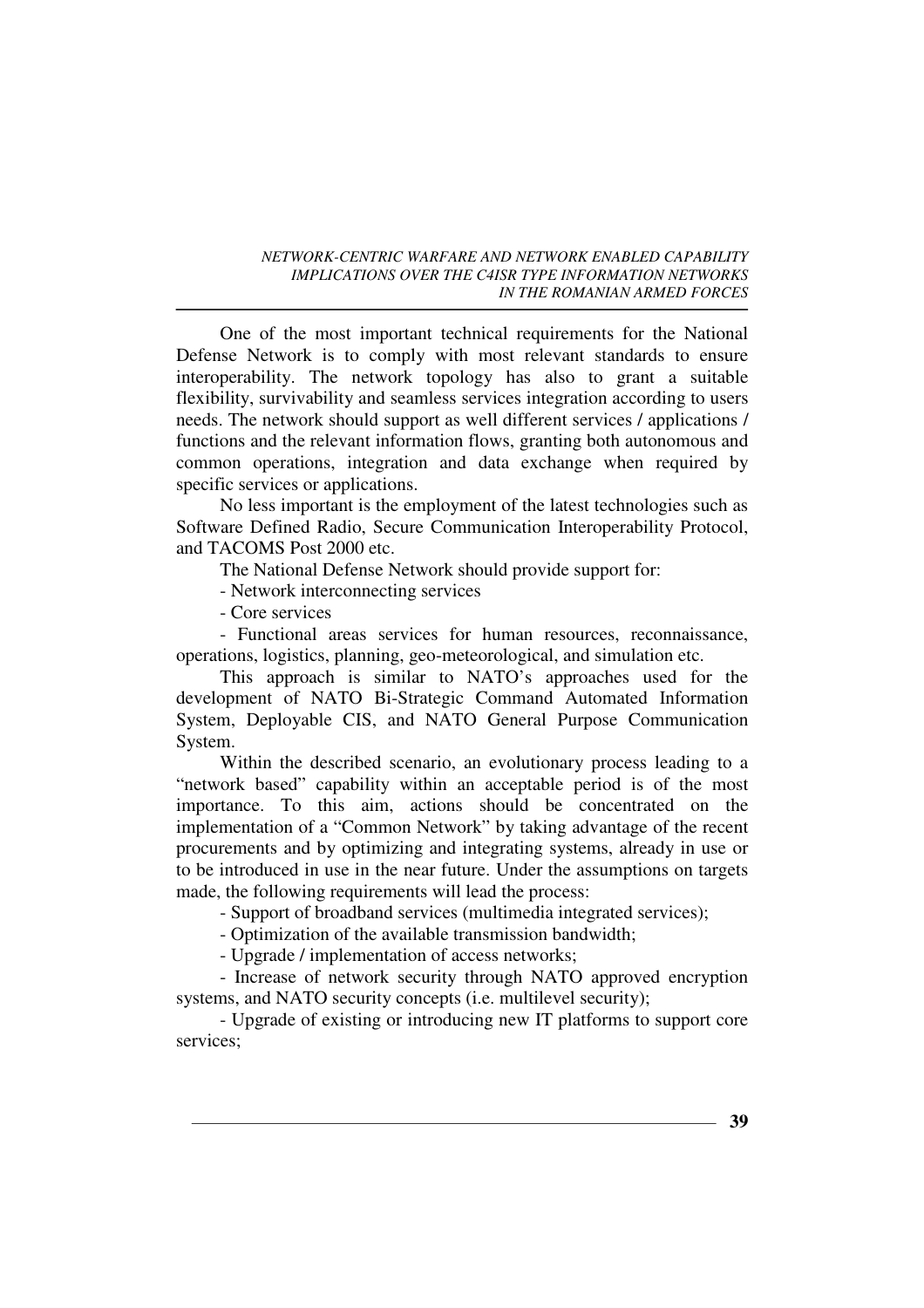One of the most important technical requirements for the National Defense Network is to comply with most relevant standards to ensure interoperability. The network topology has also to grant a suitable flexibility, survivability and seamless services integration according to users needs. The network should support as well different services / applications / functions and the relevant information flows, granting both autonomous and common operations, integration and data exchange when required by specific services or applications.

No less important is the employment of the latest technologies such as Software Defined Radio, Secure Communication Interoperability Protocol, and TACOMS Post 2000 etc.

The National Defense Network should provide support for:

- Network interconnecting services

- Core services

- Functional areas services for human resources, reconnaissance, operations, logistics, planning, geo-meteorological, and simulation etc.

This approach is similar to NATO's approaches used for the development of NATO Bi-Strategic Command Automated Information System, Deployable CIS, and NATO General Purpose Communication System.

Within the described scenario, an evolutionary process leading to a "network based" capability within an acceptable period is of the most importance. To this aim, actions should be concentrated on the implementation of a "Common Network" by taking advantage of the recent procurements and by optimizing and integrating systems, already in use or to be introduced in use in the near future. Under the assumptions on targets made, the following requirements will lead the process:

- Support of broadband services (multimedia integrated services);

- Optimization of the available transmission bandwidth;

- Upgrade / implementation of access networks;

- Increase of network security through NATO approved encryption systems, and NATO security concepts (i.e. multilevel security);

- Upgrade of existing or introducing new IT platforms to support core services;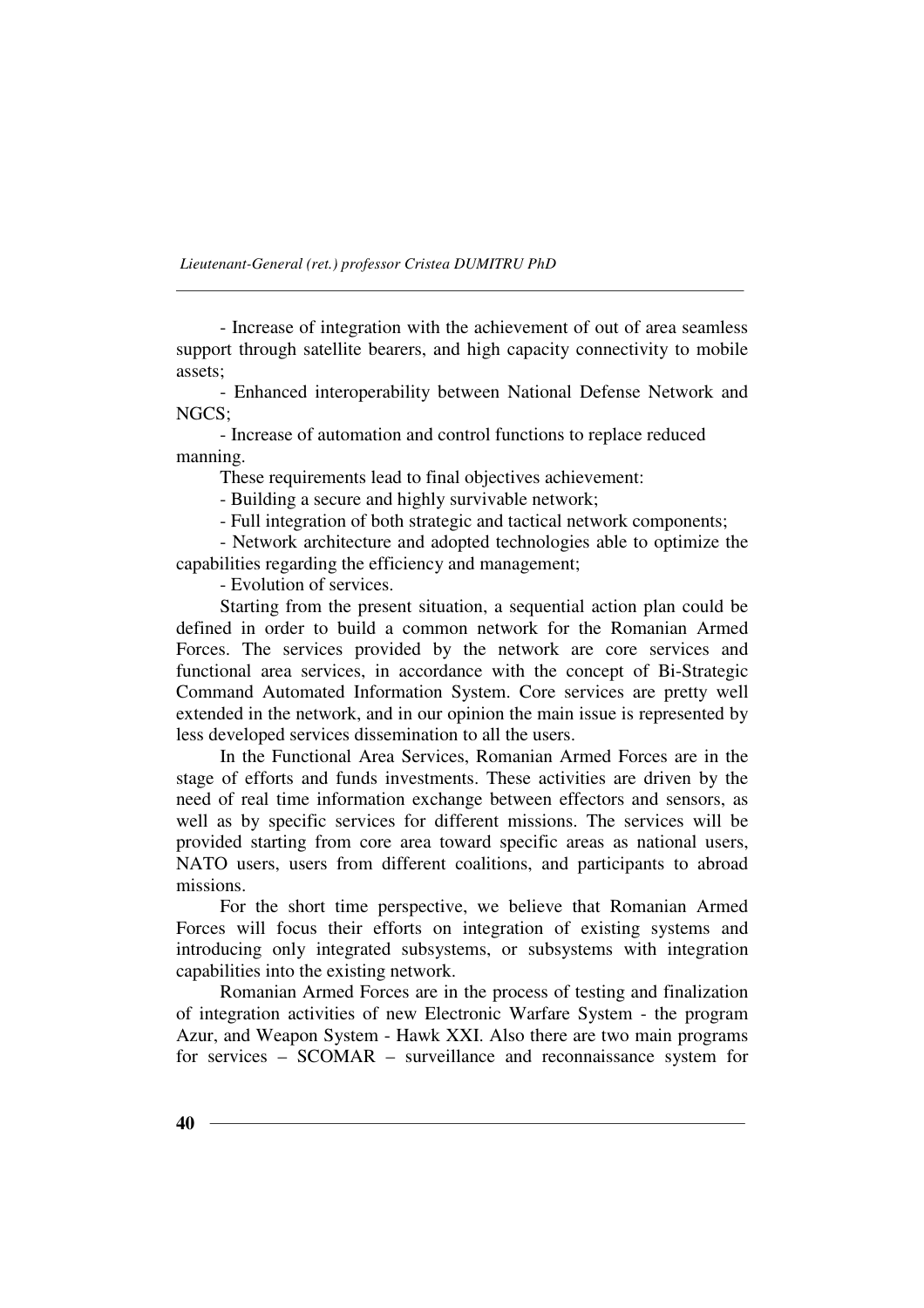- Increase of integration with the achievement of out of area seamless support through satellite bearers, and high capacity connectivity to mobile assets;

- Enhanced interoperability between National Defense Network and NGCS;

- Increase of automation and control functions to replace reduced manning.

These requirements lead to final objectives achievement:

- Building a secure and highly survivable network;

- Full integration of both strategic and tactical network components;

- Network architecture and adopted technologies able to optimize the capabilities regarding the efficiency and management;

- Evolution of services.

Starting from the present situation, a sequential action plan could be defined in order to build a common network for the Romanian Armed Forces. The services provided by the network are core services and functional area services, in accordance with the concept of Bi-Strategic Command Automated Information System. Core services are pretty well extended in the network, and in our opinion the main issue is represented by less developed services dissemination to all the users.

In the Functional Area Services, Romanian Armed Forces are in the stage of efforts and funds investments. These activities are driven by the need of real time information exchange between effectors and sensors, as well as by specific services for different missions. The services will be provided starting from core area toward specific areas as national users, NATO users, users from different coalitions, and participants to abroad missions.

For the short time perspective, we believe that Romanian Armed Forces will focus their efforts on integration of existing systems and introducing only integrated subsystems, or subsystems with integration capabilities into the existing network.

Romanian Armed Forces are in the process of testing and finalization of integration activities of new Electronic Warfare System - the program Azur, and Weapon System - Hawk XXI. Also there are two main programs for services – SCOMAR – surveillance and reconnaissance system for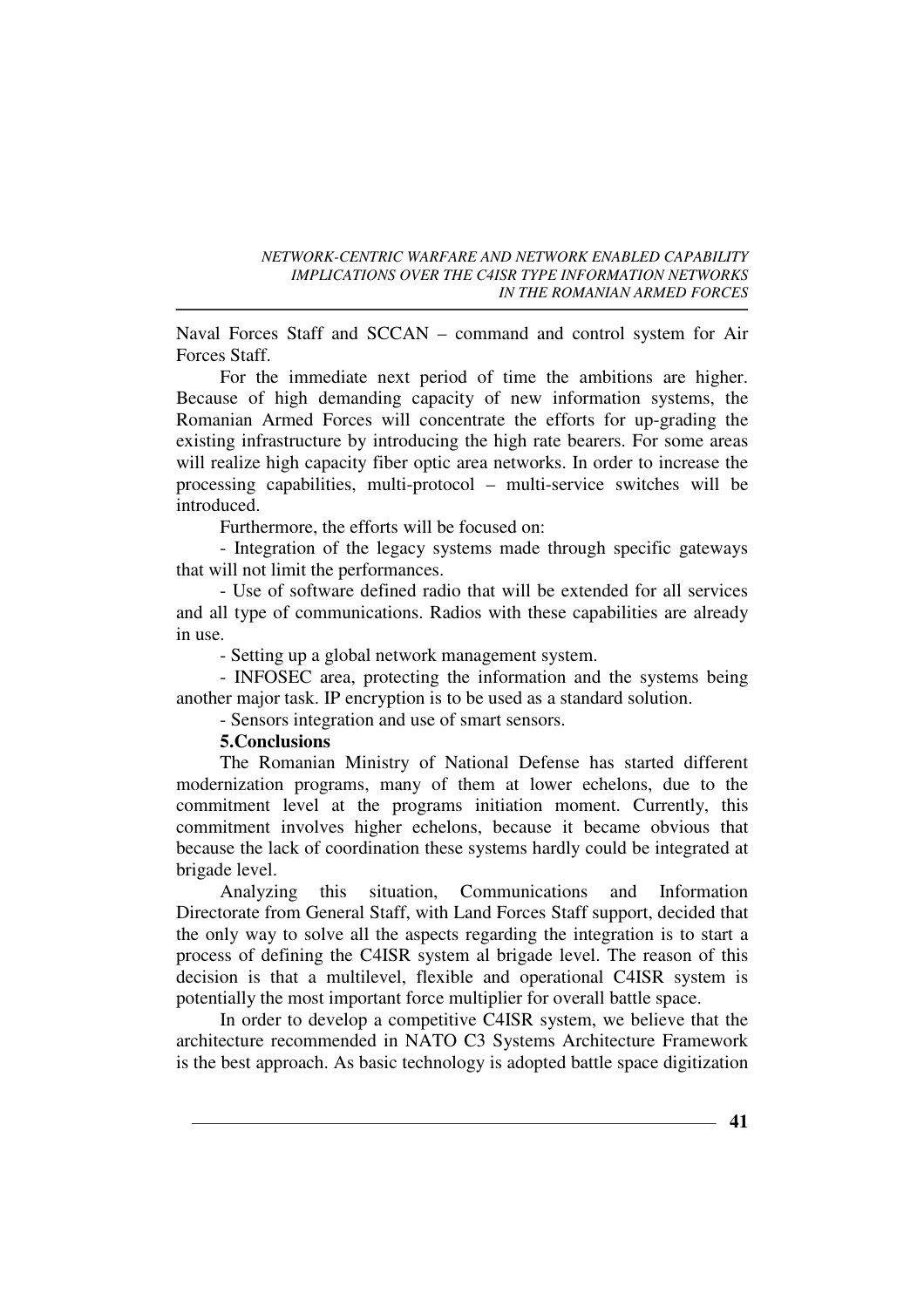Naval Forces Staff and SCCAN – command and control system for Air Forces Staff.

For the immediate next period of time the ambitions are higher. Because of high demanding capacity of new information systems, the Romanian Armed Forces will concentrate the efforts for up-grading the existing infrastructure by introducing the high rate bearers. For some areas will realize high capacity fiber optic area networks. In order to increase the processing capabilities, multi-protocol – multi-service switches will be introduced.

Furthermore, the efforts will be focused on:

- Integration of the legacy systems made through specific gateways that will not limit the performances.

- Use of software defined radio that will be extended for all services and all type of communications. Radios with these capabilities are already in use.

- Setting up a global network management system.

- INFOSEC area, protecting the information and the systems being another major task. IP encryption is to be used as a standard solution.

- Sensors integration and use of smart sensors.

### **5.Conclusions**

The Romanian Ministry of National Defense has started different modernization programs, many of them at lower echelons, due to the commitment level at the programs initiation moment. Currently, this commitment involves higher echelons, because it became obvious that because the lack of coordination these systems hardly could be integrated at brigade level.

Analyzing this situation, Communications and Information Directorate from General Staff, with Land Forces Staff support, decided that the only way to solve all the aspects regarding the integration is to start a process of defining the C4ISR system al brigade level. The reason of this decision is that a multilevel, flexible and operational C4ISR system is potentially the most important force multiplier for overall battle space.

In order to develop a competitive C4ISR system, we believe that the architecture recommended in NATO C3 Systems Architecture Framework is the best approach. As basic technology is adopted battle space digitization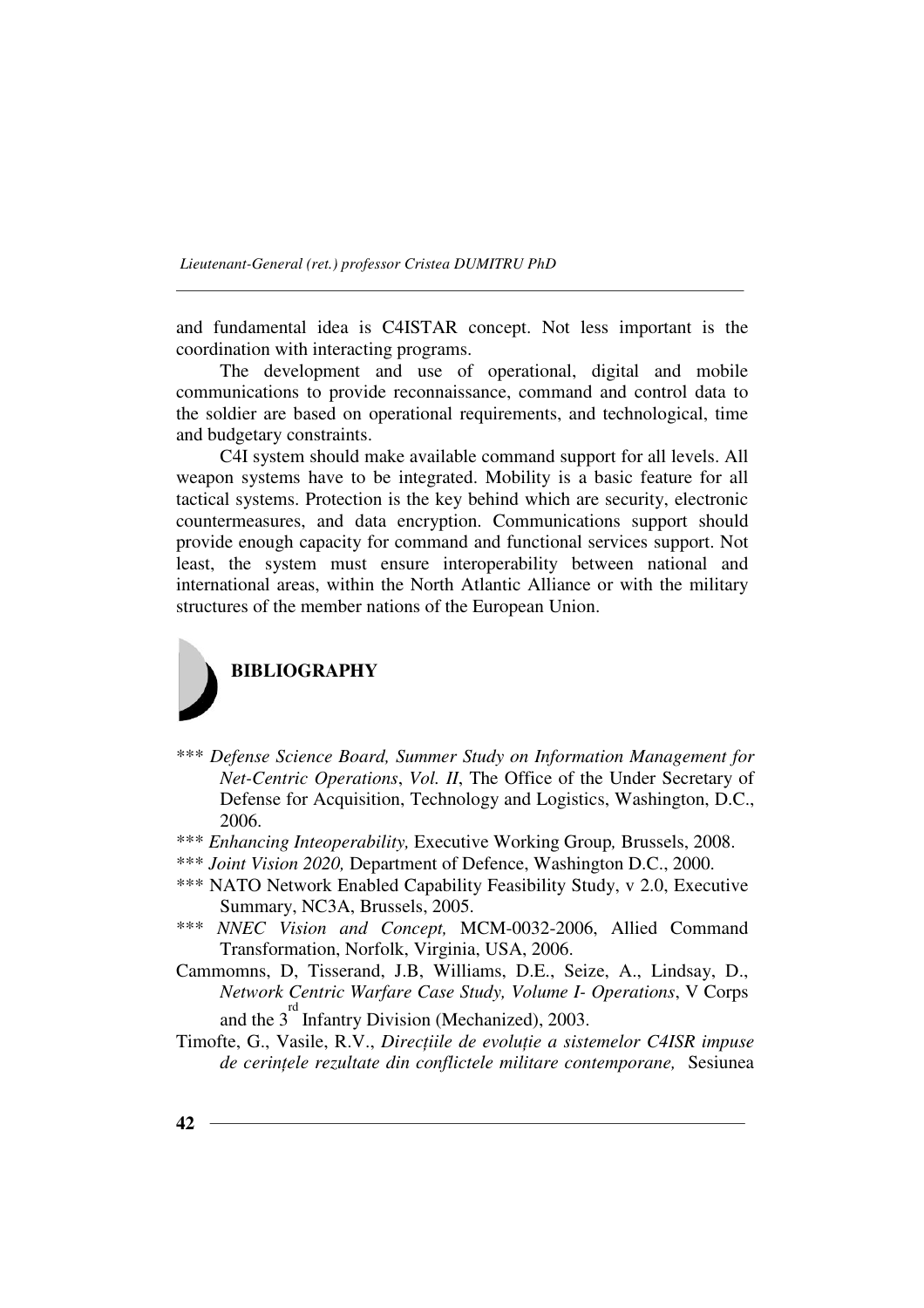and fundamental idea is C4ISTAR concept. Not less important is the coordination with interacting programs.

The development and use of operational, digital and mobile communications to provide reconnaissance, command and control data to the soldier are based on operational requirements, and technological, time and budgetary constraints.

C4I system should make available command support for all levels. All weapon systems have to be integrated. Mobility is a basic feature for all tactical systems. Protection is the key behind which are security, electronic countermeasures, and data encryption. Communications support should provide enough capacity for command and functional services support. Not least, the system must ensure interoperability between national and international areas, within the North Atlantic Alliance or with the military structures of the member nations of the European Union.



- \*\*\* *Defense Science Board, Summer Study on Information Management for Net-Centric Operations*, *Vol. II*, The Office of the Under Secretary of Defense for Acquisition, Technology and Logistics, Washington, D.C., 2006.
- \*\*\* *Enhancing Inteoperability,* Executive Working Group*,* Brussels, 2008.
- \*\*\* *Joint Vision 2020,* Department of Defence, Washington D.C., 2000.
- \*\*\* NATO Network Enabled Capability Feasibility Study, v 2.0, Executive Summary, NC3A, Brussels, 2005.
- \*\*\* *NNEC Vision and Concept,* MCM-0032-2006, Allied Command Transformation, Norfolk, Virginia, USA, 2006.
- Cammomns, D, Tisserand, J.B, Williams, D.E., Seize, A., Lindsay, D., *Network Centric Warfare Case Study, Volume I- Operations*, V Corps and the  $3<sup>rd</sup>$  Infantry Division (Mechanized), 2003.
- Timofte, G., Vasile, R.V., *Direcțiile de evoluție a sistemelor C4ISR impuse de cerințele rezultate din conflictele militare contemporane, Sesiunea*